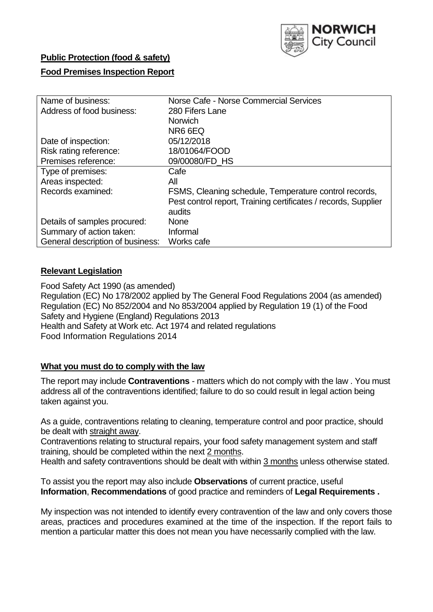

# **Public Protection (food & safety)**

### **Food Premises Inspection Report**

| Name of business:                | Norse Cafe - Norse Commercial Services                         |
|----------------------------------|----------------------------------------------------------------|
| Address of food business:        | 280 Fifers Lane                                                |
|                                  | <b>Norwich</b>                                                 |
|                                  | NR6 6EQ                                                        |
| Date of inspection:              | 05/12/2018                                                     |
| Risk rating reference:           | 18/01064/FOOD                                                  |
| Premises reference:              | 09/00080/FD HS                                                 |
| Type of premises:                | Cafe                                                           |
| Areas inspected:                 | All                                                            |
| Records examined:                | FSMS, Cleaning schedule, Temperature control records,          |
|                                  | Pest control report, Training certificates / records, Supplier |
|                                  | audits                                                         |
| Details of samples procured:     | <b>None</b>                                                    |
| Summary of action taken:         | Informal                                                       |
| General description of business: | Works cafe                                                     |

## **Relevant Legislation**

Food Safety Act 1990 (as amended) Regulation (EC) No 178/2002 applied by The General Food Regulations 2004 (as amended) Regulation (EC) No 852/2004 and No 853/2004 applied by Regulation 19 (1) of the Food Safety and Hygiene (England) Regulations 2013 Health and Safety at Work etc. Act 1974 and related regulations Food Information Regulations 2014

### **What you must do to comply with the law**

The report may include **Contraventions** - matters which do not comply with the law . You must address all of the contraventions identified; failure to do so could result in legal action being taken against you.

As a guide, contraventions relating to cleaning, temperature control and poor practice, should be dealt with straight away.

Contraventions relating to structural repairs, your food safety management system and staff training, should be completed within the next 2 months.

Health and safety contraventions should be dealt with within 3 months unless otherwise stated.

To assist you the report may also include **Observations** of current practice, useful **Information**, **Recommendations** of good practice and reminders of **Legal Requirements .**

My inspection was not intended to identify every contravention of the law and only covers those areas, practices and procedures examined at the time of the inspection. If the report fails to mention a particular matter this does not mean you have necessarily complied with the law.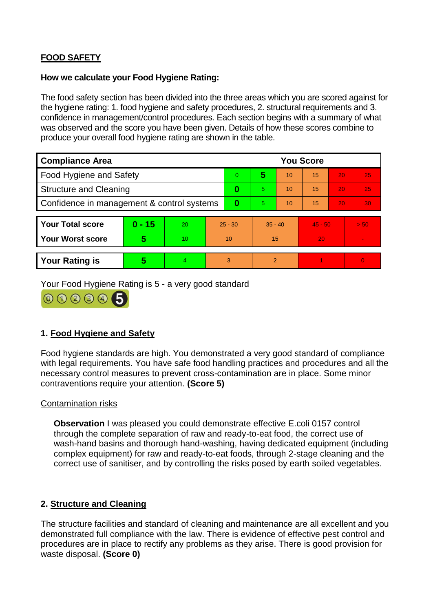# **FOOD SAFETY**

### **How we calculate your Food Hygiene Rating:**

The food safety section has been divided into the three areas which you are scored against for the hygiene rating: 1. food hygiene and safety procedures, 2. structural requirements and 3. confidence in management/control procedures. Each section begins with a summary of what was observed and the score you have been given. Details of how these scores combine to produce your overall food hygiene rating are shown in the table.

| <b>Compliance Area</b>                     |          |    |           | <b>You Score</b> |                |    |           |    |                |  |  |
|--------------------------------------------|----------|----|-----------|------------------|----------------|----|-----------|----|----------------|--|--|
| Food Hygiene and Safety                    |          |    |           | $\Omega$         | 5              | 10 | 15        | 20 | 25             |  |  |
| <b>Structure and Cleaning</b>              |          |    | $\bf{0}$  | 5.               | 10             | 15 | 20        | 25 |                |  |  |
| Confidence in management & control systems |          |    | 0         | 5                | 10             | 15 | 20        | 30 |                |  |  |
|                                            |          |    |           |                  |                |    |           |    |                |  |  |
| <b>Your Total score</b>                    | $0 - 15$ | 20 | $25 - 30$ |                  | $35 - 40$      |    | $45 - 50$ |    | > 50           |  |  |
| <b>Your Worst score</b>                    | 5        | 10 | 10        |                  | 15             |    | 20        |    | $\blacksquare$ |  |  |
|                                            |          |    |           |                  |                |    |           |    |                |  |  |
| <b>Your Rating is</b>                      | 5        | 4  | 3         |                  | $\overline{2}$ |    |           |    | $\Omega$       |  |  |

Your Food Hygiene Rating is 5 - a very good standard



# **1. Food Hygiene and Safety**

Food hygiene standards are high. You demonstrated a very good standard of compliance with legal requirements. You have safe food handling practices and procedures and all the necessary control measures to prevent cross-contamination are in place. Some minor contraventions require your attention. **(Score 5)**

### Contamination risks

**Observation** I was pleased you could demonstrate effective E.coli 0157 control through the complete separation of raw and ready-to-eat food, the correct use of wash-hand basins and thorough hand-washing, having dedicated equipment (including complex equipment) for raw and ready-to-eat foods, through 2-stage cleaning and the correct use of sanitiser, and by controlling the risks posed by earth soiled vegetables.

### **2. Structure and Cleaning**

The structure facilities and standard of cleaning and maintenance are all excellent and you demonstrated full compliance with the law. There is evidence of effective pest control and procedures are in place to rectify any problems as they arise. There is good provision for waste disposal. **(Score 0)**